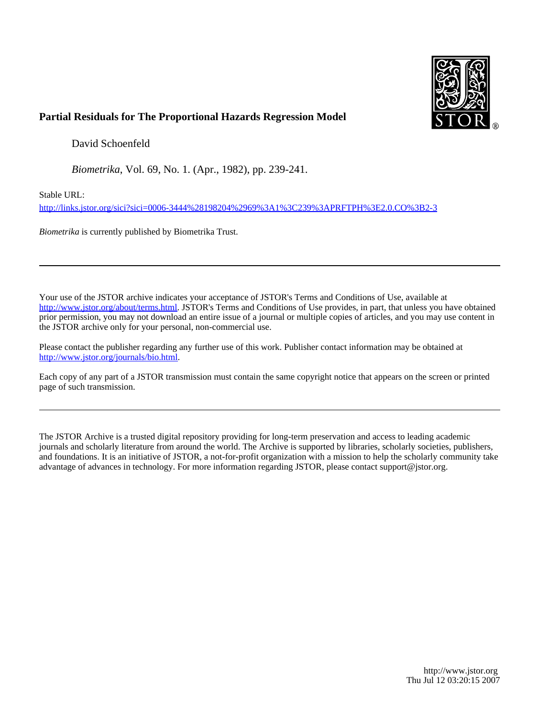

# **Partial Residuals for The Proportional Hazards Regression Model**

David Schoenfeld

*Biometrika*, Vol. 69, No. 1. (Apr., 1982), pp. 239-241.

Stable URL:

<http://links.jstor.org/sici?sici=0006-3444%28198204%2969%3A1%3C239%3APRFTPH%3E2.0.CO%3B2-3>

*Biometrika* is currently published by Biometrika Trust.

Your use of the JSTOR archive indicates your acceptance of JSTOR's Terms and Conditions of Use, available at [http://www.jstor.org/about/terms.html.](http://www.jstor.org/about/terms.html) JSTOR's Terms and Conditions of Use provides, in part, that unless you have obtained prior permission, you may not download an entire issue of a journal or multiple copies of articles, and you may use content in the JSTOR archive only for your personal, non-commercial use.

Please contact the publisher regarding any further use of this work. Publisher contact information may be obtained at <http://www.jstor.org/journals/bio.html>.

Each copy of any part of a JSTOR transmission must contain the same copyright notice that appears on the screen or printed page of such transmission.

The JSTOR Archive is a trusted digital repository providing for long-term preservation and access to leading academic journals and scholarly literature from around the world. The Archive is supported by libraries, scholarly societies, publishers, and foundations. It is an initiative of JSTOR, a not-for-profit organization with a mission to help the scholarly community take advantage of advances in technology. For more information regarding JSTOR, please contact support@jstor.org.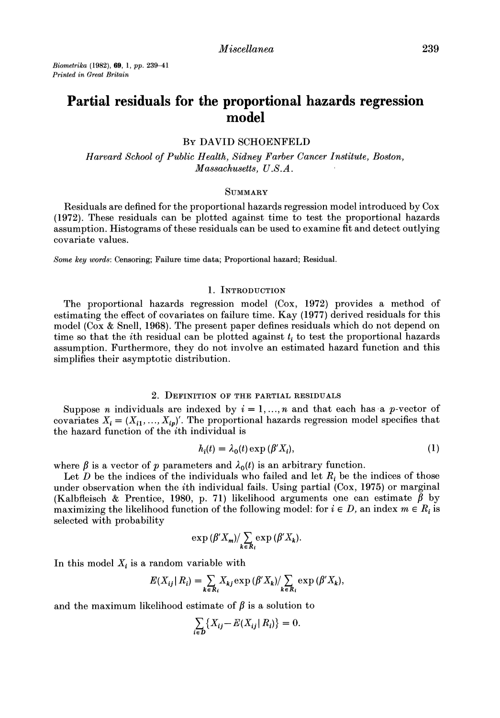*Biometrika* **(1982),***69,* **1, pp. 239-41**  *Printed in Great Britain* 

# **Partial residuals for the proportional hazards regression model**

# BY DAVID SCHOENFELD

Harvard School of Public Health, Sidney Farber Cancer Institute, Boston, Massachusetts, U.S. *A.* 

## **SUMMARY**

Residuals are defined for the proportional hazards regression model introduced by Cox (1972). These residuals can be plotted against time to test the proportional hazards assumption. Histograms of these residuals can be used to examine fit and detect outlying covariate values.

Some key **words:**Censoring; Failure time data; Proportional hazard; Residual.

#### 1. INTRODUCTION

The proportional hazards regression model (Cox, 1972) provides a method of estimating the effect of covariates on failure time. Kay (1977) derived residuals for this model (Cox & Snell, 1968). The present paper defines residuals which do not depend on time so that the  $i$ th residual can be plotted against  $t_i$  to test the proportional hazards assumption. Furthermore, they do not involve an estimated hazard function and this simplifies their asymptotic distribution.

#### 2. DEFINITION OF THE PARTIAL RESIDUALS

Suppose *n* individuals are indexed by  $i = 1, ..., n$  and that each has a *p*-vector of covariates  $X_i = (X_{i1},...,X_{ip})'$ . The proportional hazards regression model specifies that the hazard function of the ith individual is

$$
h_i(t) = \lambda_0(t) \exp\left(\beta' X_i\right),\tag{1}
$$

where  $\beta$  is a vector of p parameters and  $\lambda_0(t)$  is an arbitrary function.

Let D be the indices of the individuals who failed and let  $R_i$  be the indices of those under observation when the ith individual fails. Using partial (Cox, 1975) or marginal (Kalbfleisch & Prentice, 1980, p. 71) likelihood arguments one can estimate  $\beta$  by maximizing the likelihood function of the following model: for  $i \in D$ , an index  $m \in R_i$  is selected with probability

$$
\exp\left(\beta'X_{m}\right)/\sum_{k\in R_{i}}\exp\left(\beta'X_{k}\right).
$$

In this model  $X_i$  is a random variable with

$$
E(X_{ij} | R_i) = \sum_{k \in R_i} X_{kj} \exp(\beta' X_k) / \sum_{k \in R_i} \exp(\beta' X_k),
$$

and the maximum likelihood estimate of  $\beta$  is a solution to

$$
\sum_{i \in D} \{ X_{ij} - E(X_{ij} | R_i) \} = 0.
$$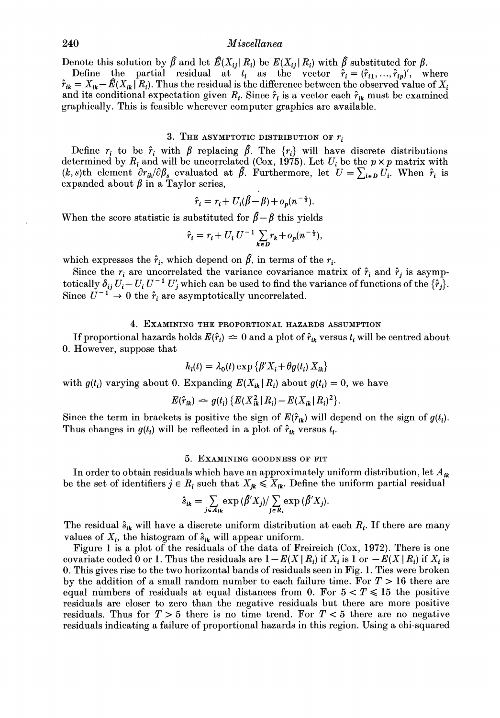# **240** *Miscellanea*

Denote this solution by  $\hat{\beta}$  and let  $\hat{E}(X_{ij}|R_i)$  be  $E(X_{ij}|R_i)$  with  $\hat{\beta}$  substituted for  $\beta$ .

Define the partial residual at  $t_i$  as the vector  $\hat{r}_i = (\hat{r}_{i1},...,\hat{r}_{ip})'$ , where  $\hat{r}_{ik}= X_{ik}-\hat{E}(X_{ik} | R_i)$ . Thus the residual is the difference between the observed value of  $X_i$ and its conditional expectation given  $R_i$ . Since  $\hat{r}_i$  is a vector each  $\hat{r}_{ik}$  must be examined graphically. This is feasible wherever computer graphics are available.

## **3.** THEASYMPTOTIC DISTRIBUTION OF *ri*

Define  $r_i$  to be  $\hat{r}_i$  with  $\beta$  replacing  $\hat{\beta}$ . The  $\{r_i\}$  will have discrete distributions determined by  $R_i$  and will be uncorrelated (Cox, 1975). Let  $U_i$  be the  $p \times p$  matrix with (*k*, *s*)th element  $\partial r_{ik}/\partial \beta_s$  evaluated at  $\beta$ . Furthermore, let  $U = \sum_{i \in D} U_i$ . When  $\hat{r}_i$  is expanded about  $\beta$  in a Taylor series,

$$
\hat{r}_i = r_i + U_i(\hat{\beta} - \beta) + o_p(n^{-\frac{1}{2}}).
$$

When the score statistic is substituted for  $\hat{\beta} - \beta$  this yields

$$
\hat{r}_i = r_i + U_i U^{-1} \sum_{k \in D} r_k + o_p(n^{-\frac{1}{2}}),
$$

which expresses the  $\hat{r}_i$ , which depend on  $\hat{\beta}$ , in terms of the  $r_i$ .

Since the  $r_i$  are uncorrelated the variance covariance matrix of  $\hat{r}_i$  and  $\hat{r}_j$  is asymptotically  $\delta_{ij} U_i - U_i U^{-1} U'_j$  which can be used to find the variance of functions of the  $\{\hat{r}_j\}$ . Since  $U^{-1} \rightarrow 0$  the  $\hat{r}_i$  are asymptotically uncorrelated.

#### 4. EXAMINING THE PROPORTIONAL HAZARDS ASSUMPTION

If proportional hazards holds  $E(\hat{r}_i) \rightleftharpoons 0$  and a plot of  $\hat{r}_{ik}$  versus  $t_i$  will be centred about 0. However, suppose that

$$
h_i(t) = \lambda_0(t) \exp \{ \beta' X_i + \theta g(t_i) X_{ik} \}
$$

with  $g(t_i)$  varying about 0. Expanding  $E(X_{ik}|R_i)$  about  $g(t_i)=0$ , we have

$$
E(\hat{r}_{ik}) \simeq g(t_i) \{ E(X_{ik}^2 | R_i) - E(X_{ik} | R_i)^2 \}.
$$

Since the term in brackets is positive the sign of  $E(\hat{r}_{ik})$  will depend on the sign of  $g(t_i)$ . Thus changes in  $g(t_i)$  will be reflected in a plot of  $\hat{r}_{ik}$  versus  $t_i$ .

#### *5.* EXAMINING GOODNESS OF FIT

In order to obtain residuals which have an approximately uniform distribution, let  $A_{ik}$ be the set of identifiers  $j \in R_i$  such that  $X_{ik} \leq X_{ik}$ . Define the uniform partial residual

$$
\hat{s}_{ik} = \sum_{j \in A_{ik}} \exp(\hat{\beta}' X_j) / \sum_{j \in R_i} \exp(\hat{\beta}' X_j).
$$

The residual  $\hat{s}_{ik}$  will have a discrete uniform distribution at each  $R_i$ . If there are many values of  $X_i$ , the histogram of  $\hat{s}_{ik}$  will appear uniform.

Figure *1* is a plot of the residuals of the data of Freireich (Cox, *1972).*There is one covariate coded 0 or 1. Thus the residuals are  $1 - E(X | R_i)$  if  $X_i$  is 1 or  $-E(X | R_i)$  if  $X_i$  is 0. This gives rise to the two horizontal bands of residuals seen in Fig. *1.* Ties were broken by the addition of a small random number to each failure time. For  $T > 16$  there are equal numbers of residuals at equal distances from 0. For  $5 < T \le 15$  the positive residuals are closer to zero than the negative residuals but there are more positive residuals. Thus for  $T > 5$  there is no time trend. For  $T < 5$  there are no negative residuals indicating a failure of proportional hazards in this region. Using a chi-squared